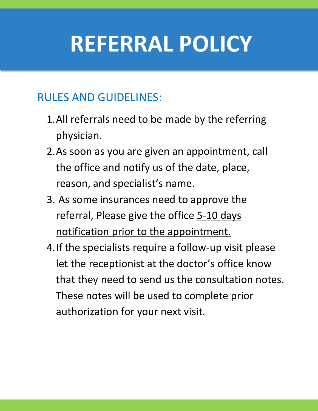## **REFERRAL POLICY**

#### RULES AND GUIDELINES:

- 1.All referrals need to be made by the referring physician.
- 2.As soon as you are given an appointment, call the office and notify us of the date, place, reason, and specialist's name.
- 3. As some insurances need to approve the referral, Please give the office 5-10 days notification prior to the appointment.
- 4.If the specialists require a follow-up visit please let the receptionist at the doctor's office know that they need to send us the consultation notes. These notes will be used to complete prior authorization for your next visit.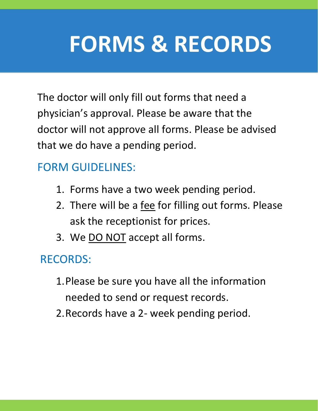# **FORMS & RECORDS**

The doctor will only fill out forms that need a physician's approval. Please be aware that the doctor will not approve all forms. Please be advised that we do have a pending period.

### FORM GUIDELINES:

- 1. Forms have a two week pending period.
- 2. There will be a fee for filling out forms. Please ask the receptionist for prices.
- 3. We DO NOT accept all forms.

#### RECORDS:

- 1.Please be sure you have all the information needed to send or request records.
- 2.Records have a 2- week pending period.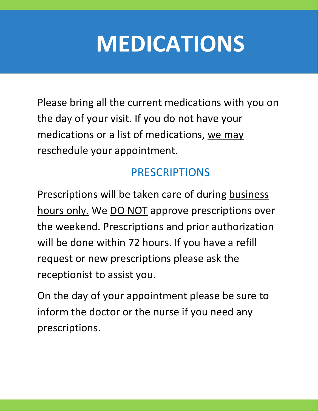# **MEDICATIONS**

Please bring all the current medications with you on the day of your visit. If you do not have your medications or a list of medications, we may reschedule your appointment.

### PRESCRIPTIONS

Prescriptions will be taken care of during business hours only. We DO NOT approve prescriptions over the weekend. Prescriptions and prior authorization will be done within 72 hours. If you have a refill request or new prescriptions please ask the receptionist to assist you.

On the day of your appointment please be sure to inform the doctor or the nurse if you need any prescriptions.